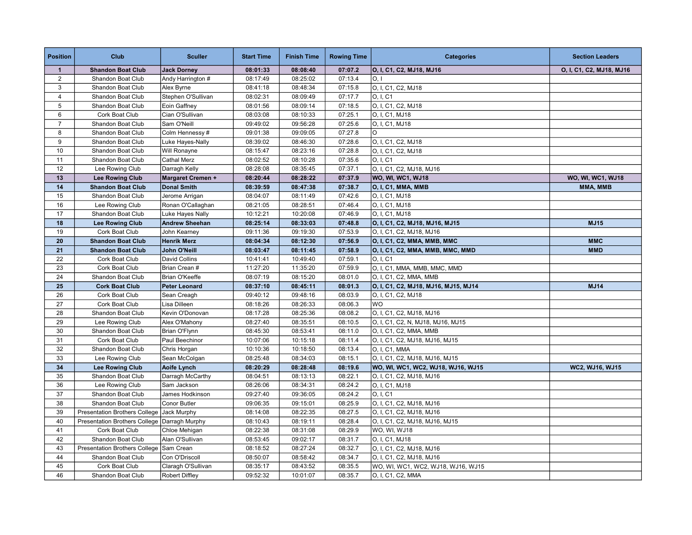| <b>Position</b> | Club                                 | <b>Sculler</b>        | <b>Start Time</b> | <b>Finish Time</b> | <b>Rowing Time</b> | <b>Categories</b>                    | <b>Section Leaders</b>   |
|-----------------|--------------------------------------|-----------------------|-------------------|--------------------|--------------------|--------------------------------------|--------------------------|
| $\mathbf{1}$    | <b>Shandon Boat Club</b>             | <b>Jack Dorney</b>    | 08:01:33          | 08:08:40           | 07:07.2            | O, I, C1, C2, MJ18, MJ16             | O, I, C1, C2, MJ18, MJ16 |
| $\overline{2}$  | Shandon Boat Club                    | Andy Harrington #     | 08:17:49          | 08:25:02           | 07:13.4            | O, I                                 |                          |
| 3               | Shandon Boat Club                    | Alex Byrne            | 08:41:18          | 08:48:34           | 07:15.8            | O, I, C1, C2, MJ18                   |                          |
| $\overline{4}$  | Shandon Boat Club                    | Stephen O'Sullivan    | 08:02:31          | 08:09:49           | 07:17.7            | O, I, C1                             |                          |
| 5               | Shandon Boat Club                    | Eoin Gaffney          | 08:01:56          | 08:09:14           | 07:18.5            | O, I, C1, C2, MJ18                   |                          |
| 6               | Cork Boat Club                       | Cian O'Sullivan       | 08:03:08          | 08:10:33           | 07:25.1            | O, I, C1, MJ18                       |                          |
| $\overline{7}$  | Shandon Boat Club                    | Sam O'Neill           | 09:49:02          | 09:56:28           | 07:25.6            | O, I, C1, MJ18                       |                          |
| 8               | Shandon Boat Club                    | Colm Hennessy#        | 09:01:38          | 09:09:05           | 07:27.8            | O                                    |                          |
| 9               | Shandon Boat Club                    | Luke Hayes-Nally      | 08:39:02          | 08:46:30           | 07:28.6            | O, I, C1, C2, MJ18                   |                          |
| 10              | Shandon Boat Club                    | Will Ronayne          | 08:15:47          | 08:23:16           | 07:28.8            | O, I, C1, C2, MJ18                   |                          |
| 11              | Shandon Boat Club                    | <b>Cathal Merz</b>    | 08:02:52          | 08:10:28           | 07:35.6            | O, I, C1                             |                          |
| 12              | Lee Rowing Club                      | Darragh Kelly         | 08:28:08          | 08:35:45           | 07:37.1            | O, I, C1, C2, MJ18, MJ16             |                          |
| 13              | <b>Lee Rowing Club</b>               | Margaret Cremen +     | 08:20:44          | 08:28:22           | 07:37.9            | WO, WI, WC1, WJ18                    | WO, WI, WC1, WJ18        |
| 14              | <b>Shandon Boat Club</b>             | <b>Donal Smith</b>    | 08:39:59          | 08:47:38           | 07:38.7            | O, I, C1, MMA, MMB                   | MMA, MMB                 |
| 15              | Shandon Boat Club                    | Jerome Arrigan        | 08:04:07          | 08:11:49           | 07:42.6            | O, I, C1, MJ18                       |                          |
| 16              | Lee Rowing Club                      | Ronan O'Callaghan     | 08:21:05          | 08:28:51           | 07:46.4            | O, I, C1, MJ18                       |                          |
| 17              | Shandon Boat Club                    | Luke Hayes Nally      | 10:12:21          | 10:20:08           | 07:46.9            | O, I, C1, MJ18                       |                          |
| 18              | <b>Lee Rowing Club</b>               | <b>Andrew Sheehan</b> | 08:25:14          | 08:33:03           | 07:48.8            | O, I, C1, C2, MJ18, MJ16, MJ15       | <b>MJ15</b>              |
| 19              | Cork Boat Club                       | John Kearney          | 09:11:36          | 09:19:30           | 07:53.9            | O, I, C1, C2, MJ18, MJ16             |                          |
| 20              | <b>Shandon Boat Club</b>             | <b>Henrik Merz</b>    | 08:04:34          | 08:12:30           | 07:56.9            | O, I, C1, C2, MMA, MMB, MMC          | <b>MMC</b>               |
| 21              | <b>Shandon Boat Club</b>             | John O'Neill          | 08:03:47          | 08:11:45           | 07:58.9            | O, I, C1, C2, MMA, MMB, MMC, MMD     | <b>MMD</b>               |
| 22              | Cork Boat Club                       | David Collins         | 10:41:41          | 10:49:40           | 07:59.1            | O, I, C1                             |                          |
| 23              | Cork Boat Club                       | Brian Crean #         | 11:27:20          | 11:35:20           | 07:59.9            | O, I, C1, MMA, MMB, MMC, MMD         |                          |
| 24              | Shandon Boat Club                    | Brian O'Keeffe        | 08:07:19          | 08:15:20           | 08:01.0            | O, I, C1, C2, MMA, MMB               |                          |
| 25              | <b>Cork Boat Club</b>                | <b>Peter Leonard</b>  | 08:37:10          | 08:45:11           | 08:01.3            | O, I, C1, C2, MJ18, MJ16, MJ15, MJ14 | <b>MJ14</b>              |
| 26              | Cork Boat Club                       | Sean Creagh           | 09:40:12          | 09:48:16           | 08:03.9            | O, I, C1, C2, MJ18                   |                          |
| 27              | Cork Boat Club                       | Lisa Dilleen          | 08:18:26          | 08:26:33           | 08:06.3            | <b>WO</b>                            |                          |
| 28              | Shandon Boat Club                    | Kevin O'Donovan       | 08:17:28          | 08:25:36           | 08:08.2            | O, I, C1, C2, MJ18, MJ16             |                          |
| 29              | Lee Rowing Club                      | Alex O'Mahony         | 08:27:40          | 08:35:51           | 08:10.5            | O, I, C1, C2, N, MJ18, MJ16, MJ15    |                          |
| 30              | Shandon Boat Club                    | Brian O'Flynn         | 08:45:30          | 08:53:41           | 08:11.0            | O, I, C1, C2, MMA, MMB               |                          |
| 31              | Cork Boat Club                       | Paul Beechinor        | 10:07:06          | 10:15:18           | 08:11.4            | O, I, C1, C2, MJ18, MJ16, MJ15       |                          |
| 32              | Shandon Boat Club                    | Chris Horgan          | 10:10:36          | 10:18:50           | 08:13.4            | O, I, C1, MMA                        |                          |
| 33              | Lee Rowing Club                      | Sean McColgan         | 08:25:48          | 08:34:03           | 08:15.1            | O, I, C1, C2, MJ18, MJ16, MJ15       |                          |
| 34              | <b>Lee Rowing Club</b>               | Aoife Lynch           | 08:20:29          | 08:28:48           | 08:19.6            | WO, WI, WC1, WC2, WJ18, WJ16, WJ15   | WC2, WJ16, WJ15          |
| 35              | Shandon Boat Club                    | Darragh McCarthy      | 08:04:51          | 08:13:13           | 08:22.1            | O, I, C1, C2, MJ18, MJ16             |                          |
| 36              | Lee Rowing Club                      | Sam Jackson           | 08:26:06          | 08:34:31           | 08:24.2            | O, I, C1, MJ18                       |                          |
| 37              | Shandon Boat Club                    | James Hodkinson       | 09:27:40          | 09:36:05           | 08:24.2            | O, I, C1                             |                          |
| 38              | Shandon Boat Club                    | Conor Butler          | 09:06:35          | 09:15:01           | 08:25.9            | O, I, C1, C2, MJ18, MJ16             |                          |
| 39              | <b>Presentation Brothers College</b> | Jack Murphy           | 08:14:08          | 08:22:35           | 08:27.5            | O, I, C1, C2, MJ18, MJ16             |                          |
| 40              | <b>Presentation Brothers College</b> | Darragh Murphy        | 08:10:43          | 08:19:11           | 08:28.4            | O, I, C1, C2, MJ18, MJ16, MJ15       |                          |
| 41              | Cork Boat Club                       | Chloe Mehigan         | 08:22:38          | 08:31:08           | 08:29.9            | WO, WI, WJ18                         |                          |
| 42              | Shandon Boat Club                    | Alan O'Sullivan       | 08:53:45          | 09:02:17           | 08:31.7            | O, I, C1, MJ18                       |                          |
| 43              | <b>Presentation Brothers College</b> | Sam Crean             | 08:18:52          | 08:27:24           | 08:32.7            | O, I, C1, C2, MJ18, MJ16             |                          |
| 44              | Shandon Boat Club                    | Con O'Driscoll        | 08:50:07          | 08:58:42           | 08:34.7            | O, I, C1, C2, MJ18, MJ16             |                          |
| 45              | Cork Boat Club                       | Claragh O'Sullivan    | 08:35:17          | 08:43:52           | 08:35.5            | WO, WI, WC1, WC2, WJ18, WJ16, WJ15   |                          |
| 46              | Shandon Boat Club                    | Robert Diffley        | 09:52:32          | 10:01:07           | 08:35.7            | O, I, C1, C2, MMA                    |                          |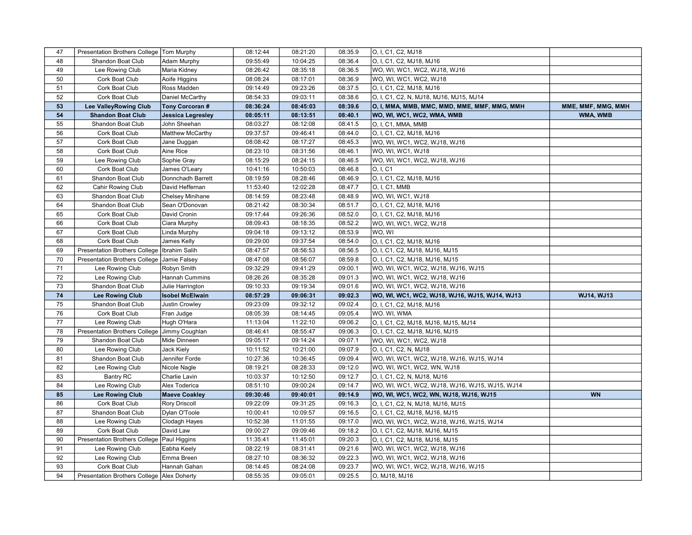| 47 | Presentation Brothers College   Tom Murphy   |                          | 08:12:44 | 08:21:20 | 08:35.9 | O, I, C1, C2, MJ18                             |                    |
|----|----------------------------------------------|--------------------------|----------|----------|---------|------------------------------------------------|--------------------|
| 48 | Shandon Boat Club                            | Adam Murphy              | 09:55:49 | 10:04:25 | 08:36.4 | O, I, C1, C2, MJ18, MJ16                       |                    |
| 49 | Lee Rowing Club                              | Maria Kidney             | 08:26:42 | 08:35:18 | 08:36.5 | WO, WI, WC1, WC2, WJ18, WJ16                   |                    |
| 50 | Cork Boat Club                               | Aoife Higgins            | 08:08:24 | 08:17:01 | 08:36.9 | WO, WI, WC1, WC2, WJ18                         |                    |
| 51 | Cork Boat Club                               | Ross Madden              | 09:14:49 | 09:23:26 | 08:37.5 | O, I, C1, C2, MJ18, MJ16                       |                    |
| 52 | Cork Boat Club                               | Daniel McCarthy          | 08:54:33 | 09:03:11 | 08:38.6 | O, I, C1, C2, N, MJ18, MJ16, MJ15, MJ14        |                    |
| 53 | <b>Lee ValleyRowing Club</b>                 | Tony Corcoran #          | 08:36:24 | 08:45:03 | 08:39.6 | O, I, MMA, MMB, MMC, MMD, MME, MMF, MMG, MMH   | MME, MMF, MMG, MMH |
| 54 | <b>Shandon Boat Club</b>                     | <b>Jessica Legresley</b> | 08:05:11 | 08:13:51 | 08:40.1 | WO, WI, WC1, WC2, WMA, WMB                     | WMA, WMB           |
| 55 | Shandon Boat Club                            | John Sheehan             | 08:03:27 | 08:12:08 | 08:41.5 | O, I, C1, MMA, MMB                             |                    |
| 56 | Cork Boat Club                               | Matthew McCarthy         | 09:37:57 | 09:46:41 | 08:44.0 | O, I, C1, C2, MJ18, MJ16                       |                    |
| 57 | Cork Boat Club                               | Jane Duggan              | 08:08:42 | 08:17:27 | 08:45.3 | WO, WI, WC1, WC2, WJ18, WJ16                   |                    |
| 58 | Cork Boat Club                               | Aine Rice                | 08:23:10 | 08:31:56 | 08:46.1 | WO, WI, WC1, WJ18                              |                    |
| 59 | Lee Rowing Club                              | Sophie Gray              | 08:15:29 | 08:24:15 | 08:46.5 | WO, WI, WC1, WC2, WJ18, WJ16                   |                    |
| 60 | Cork Boat Club                               | James O'Leary            | 10:41:16 | 10:50:03 | 08:46.8 | O, I, C1                                       |                    |
| 61 | Shandon Boat Club                            | Donnchadh Barrett        | 08:19:59 | 08:28:46 | 08:46.9 | O, I, C1, C2, MJ18, MJ16                       |                    |
| 62 | Cahir Rowing Club                            | David Heffernan          | 11:53:40 | 12:02:28 | 08:47.7 | O, I, C1, MMB                                  |                    |
| 63 | Shandon Boat Club                            | Chelsey Minihane         | 08:14:59 | 08:23:48 | 08:48.9 | WO, WI, WC1, WJ18                              |                    |
| 64 | Shandon Boat Club                            | Sean O'Donovan           | 08:21:42 | 08:30:34 | 08:51.7 | O, I, C1, C2, MJ18, MJ16                       |                    |
| 65 | Cork Boat Club                               | David Cronin             | 09:17:44 | 09:26:36 | 08:52.0 | O, I, C1, C2, MJ18, MJ16                       |                    |
| 66 | Cork Boat Club                               | Ciara Murphy             | 08:09:43 | 08:18:35 | 08:52.2 | WO, WI, WC1, WC2, WJ18                         |                    |
| 67 | Cork Boat Club                               | Linda Murphy             | 09:04:18 | 09:13:12 | 08:53.9 | WO, WI                                         |                    |
| 68 | Cork Boat Club                               | James Kelly              | 09:29:00 | 09:37:54 | 08:54.0 | O, I, C1, C2, MJ18, MJ16                       |                    |
| 69 | <b>Presentation Brothers College</b>         | Ibrahim Salih            | 08:47:57 | 08:56:53 | 08:56.5 | O, I, C1, C2, MJ18, MJ16, MJ15                 |                    |
| 70 | <b>Presentation Brothers College</b>         | Jamie Falsey             | 08:47:08 | 08:56:07 | 08:59.8 | O, I, C1, C2, MJ18, MJ16, MJ15                 |                    |
| 71 | Lee Rowing Club                              | Robyn Smith              | 09:32:29 | 09:41:29 | 09:00.1 | WO, WI, WC1, WC2, WJ18, WJ16, WJ15             |                    |
| 72 | Lee Rowing Club                              | Hannah Cummins           | 08:26:26 | 08:35:28 | 09:01.3 | WO, WI, WC1, WC2, WJ18, WJ16                   |                    |
| 73 | Shandon Boat Club                            | Julie Harrington         | 09:10:33 | 09:19:34 | 09:01.6 | WO, WI, WC1, WC2, WJ18, WJ16                   |                    |
| 74 | <b>Lee Rowing Club</b>                       | <b>Isobel McElwain</b>   | 08:57:29 | 09:06:31 | 09:02.3 | WO, WI, WC1, WC2, WJ18, WJ16, WJ15, WJ14, WJ13 | WJ14, WJ13         |
| 75 | Shandon Boat Club                            | Justin Crowley           | 09:23:09 | 09:32:12 | 09:02.4 | O, I, C1, C2, MJ18, MJ16                       |                    |
| 76 | Cork Boat Club                               | Fran Judge               | 08:05:39 | 08:14:45 | 09:05.4 | WO. WI, WMA                                    |                    |
| 77 | Lee Rowing Club                              | Hugh O'Hara              | 11:13:04 | 11:22:10 | 09:06.2 | O, I, C1, C2, MJ18, MJ16, MJ15, MJ14           |                    |
| 78 | <b>Presentation Brothers College</b>         | Jimmy Coughlan           | 08:46:41 | 08:55:47 | 09:06.3 | O, I, C1, C2, MJ18, MJ16, MJ15                 |                    |
| 79 | Shandon Boat Club                            | Mide Dinneen             | 09:05:17 | 09:14:24 | 09:07.1 | WO, WI, WC1, WC2, WJ18                         |                    |
| 80 | Lee Rowing Club                              | Jack Kiely               | 10:11:52 | 10:21:00 | 09:07.9 | O, I, C1, C2, N, MJ18                          |                    |
| 81 | Shandon Boat Club                            | Jennifer Forde           | 10:27:36 | 10:36:45 | 09:09.4 | WO, WI, WC1, WC2, WJ18, WJ16, WJ15, WJ14       |                    |
| 82 | Lee Rowing Club                              | Nicole Nagle             | 08:19:21 | 08:28:33 | 09:12.0 | WO, WI, WC1, WC2, WN, WJ18                     |                    |
| 83 | <b>Bantry RC</b>                             | Charlie Lavin            | 10:03:37 | 10:12:50 | 09:12.7 | O, I, C1, C2, N, MJ18, MJ16                    |                    |
| 84 | Lee Rowing Club                              | Alex Toderica            | 08:51:10 | 09:00:24 | 09:14.7 | WO, WI, WC1, WC2, WJ18, WJ16, WJ15, WJ15, WJ14 |                    |
| 85 | <b>Lee Rowing Club</b>                       | <b>Maeve Coakley</b>     | 09:30:46 | 09:40:01 | 09:14.9 | WO, WI, WC1, WC2, WN, WJ18, WJ16, WJ15         | <b>WN</b>          |
| 86 | Cork Boat Club                               | <b>Rory Driscoll</b>     | 09:22:09 | 09:31:25 | 09:16.3 | O, I, C1, C2, N, MJ18, MJ16, MJ15              |                    |
| 87 | Shandon Boat Club                            | Dylan O'Toole            | 10:00:41 | 10:09:57 | 09:16.5 | O, I, C1, C2, MJ18, MJ16, MJ15                 |                    |
| 88 | Lee Rowing Club                              | Clodagh Hayes            | 10:52:38 | 11:01:55 | 09:17.0 | WO, WI, WC1, WC2, WJ18, WJ16, WJ15, WJ14       |                    |
| 89 | Cork Boat Club                               | David Law                | 09:00:27 | 09:09:46 | 09:18.2 | O, I, C1, C2, MJ18, MJ16, MJ15                 |                    |
| 90 | <b>Presentation Brothers College</b>         | Paul Higgins             | 11:35:41 | 11:45:01 | 09:20.3 | O, I, C1, C2, MJ18, MJ16, MJ15                 |                    |
| 91 | Lee Rowing Club                              | Eabha Keely              | 08:22:19 | 08:31:41 | 09:21.6 | WO, WI, WC1, WC2, WJ18, WJ16                   |                    |
| 92 | Lee Rowing Club                              | Emma Breen               | 08:27:10 | 08:36:32 | 09:22.3 | WO, WI, WC1, WC2, WJ18, WJ16                   |                    |
| 93 | Cork Boat Club                               | Hannah Gahan             | 08:14:45 | 08:24:08 | 09:23.7 | WO, WI, WC1, WC2, WJ18, WJ16, WJ15             |                    |
| 94 | Presentation Brothers College   Alex Doherty |                          | 08:55:35 | 09:05:01 | 09:25.5 | O, MJ18, MJ16                                  |                    |
|    |                                              |                          |          |          |         |                                                |                    |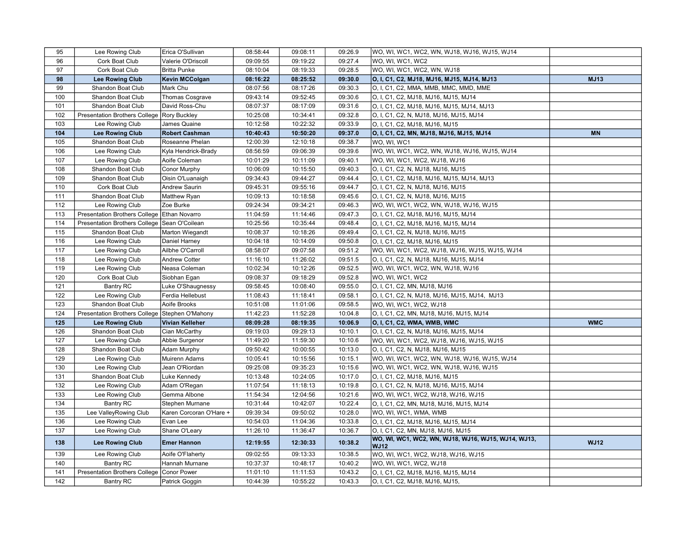| 95  | Lee Rowing Club                             | Erica O'Sullivan        | 08:58:44 | 09:08:11 | 09:26.9 | WO, WI, WC1, WC2, WN, WJ18, WJ16, WJ15, WJ14                       |             |
|-----|---------------------------------------------|-------------------------|----------|----------|---------|--------------------------------------------------------------------|-------------|
| 96  | Cork Boat Club                              | Valerie O'Driscoll      | 09:09:55 | 09:19:22 | 09:27.4 | WO, WI, WC1, WC2                                                   |             |
| 97  | Cork Boat Club                              | <b>Britta Punke</b>     | 08:10:04 | 08:19:33 | 09:28.5 | WO, WI, WC1, WC2, WN, WJ18                                         |             |
| 98  | Lee Rowing Club                             | <b>Kevin MCColgan</b>   | 08:16:22 | 08:25:52 | 09:30.0 | O, I, C1, C2, MJ18, MJ16, MJ15, MJ14, MJ13                         | <b>MJ13</b> |
| 99  | Shandon Boat Club                           | Mark Chu                | 08:07:56 | 08:17:26 | 09:30.3 | O, I, C1, C2, MMA, MMB, MMC, MMD, MME                              |             |
| 100 | Shandon Boat Club                           | Thomas Cosgrave         | 09:43:14 | 09:52:45 | 09:30.6 | O, I, C1, C2, MJ18, MJ16, MJ15, MJ14                               |             |
| 101 | Shandon Boat Club                           | David Ross-Chu          | 08:07:37 | 08:17:09 | 09:31.6 | O, I, C1, C2, MJ18, MJ16, MJ15, MJ14, MJ13                         |             |
| 102 | <b>Presentation Brothers College</b>        | <b>Rory Buckley</b>     | 10:25:08 | 10:34:41 | 09:32.8 | O, I, C1, C2, N, MJ18, MJ16, MJ15, MJ14                            |             |
| 103 | Lee Rowing Club                             | James Quaine            | 10:12:58 | 10:22:32 | 09:33.9 | O, I, C1, C2, MJ18, MJ16, MJ15                                     |             |
| 104 | <b>Lee Rowing Club</b>                      | <b>Robert Cashman</b>   | 10:40:43 | 10:50:20 | 09:37.0 | O, I, C1, C2, MN, MJ18, MJ16, MJ15, MJ14                           | <b>MN</b>   |
| 105 | Shandon Boat Club                           | Roseanne Phelan         | 12:00:39 | 12:10:18 | 09:38.7 | WO, WI, WC1                                                        |             |
| 106 | Lee Rowing Club                             | Kyla Hendrick-Brady     | 08:56:59 | 09:06:39 | 09:39.6 | WO, WI, WC1, WC2, WN, WJ18, WJ16, WJ15, WJ14                       |             |
| 107 | Lee Rowing Club                             | Aoife Coleman           | 10:01:29 | 10:11:09 | 09:40.1 | WO, WI, WC1, WC2, WJ18, WJ16                                       |             |
| 108 | Shandon Boat Club                           | Conor Murphy            | 10:06:09 | 10:15:50 | 09:40.3 | O, I, C1, C2, N, MJ18, MJ16, MJ15                                  |             |
| 109 | Shandon Boat Club                           | Oisin O'Luanaigh        | 09:34:43 | 09:44:27 | 09:44.4 | O, I, C1, C2, MJ18, MJ16, MJ15, MJ14, MJ13                         |             |
| 110 | Cork Boat Club                              | Andrew Saurin           | 09:45:31 | 09:55:16 | 09:44.7 | O, I, C1, C2, N, MJ18, MJ16, MJ15                                  |             |
| 111 | Shandon Boat Club                           | Matthew Ryan            | 10:09:13 | 10:18:58 | 09:45.6 | O, I, C1, C2, N, MJ18, MJ16, MJ15                                  |             |
| 112 | Lee Rowing Club                             | Zoe Burke               | 09:24:34 | 09:34:21 | 09:46.3 | WO, WI, WC1, WC2, WN, WJ18, WJ16, WJ15                             |             |
| 113 | Presentation Brothers College Ethan Novarro |                         | 11:04:59 | 11:14:46 | 09:47.3 | O, I, C1, C2, MJ18, MJ16, MJ15, MJ14                               |             |
| 114 | <b>Presentation Brothers College</b>        | Sean O'Coilean          | 10:25:56 | 10:35:44 | 09:48.4 | O, I, C1, C2, MJ18, MJ16, MJ15, MJ14                               |             |
| 115 | Shandon Boat Club                           | Marton Wiegandt         | 10:08:37 | 10:18:26 | 09:49.4 | O, I, C1, C2, N, MJ18, MJ16, MJ15                                  |             |
| 116 | Lee Rowing Club                             | Daniel Harney           | 10:04:18 | 10:14:09 | 09:50.8 | O, I, C1, C2, MJ18, MJ16, MJ15                                     |             |
| 117 | Lee Rowing Club                             | Ailbhe O'Carroll        | 08:58:07 | 09:07:58 | 09:51.2 | WO, WI, WC1, WC2, WJ18, WJ16, WJ15, WJ15, WJ14                     |             |
| 118 | Lee Rowing Club                             | <b>Andrew Cotter</b>    | 11:16:10 | 11:26:02 | 09:51.5 | O, I, C1, C2, N, MJ18, MJ16, MJ15, MJ14                            |             |
| 119 | Lee Rowing Club                             | Neasa Coleman           | 10:02:34 | 10:12:26 | 09:52.5 | WO, WI, WC1, WC2, WN, WJ18, WJ16                                   |             |
| 120 | Cork Boat Club                              | Siobhan Egan            | 09:08:37 | 09:18:29 | 09:52.8 | WO, WI, WC1, WC2                                                   |             |
| 121 | <b>Bantry RC</b>                            | Luke O'Shaugnessy       | 09:58:45 | 10:08:40 | 09:55.0 | O, I, C1, C2, MN, MJ18, MJ16                                       |             |
| 122 | Lee Rowing Club                             | Ferdia Hellebust        | 11:08:43 | 11:18:41 | 09:58.1 | O, I, C1, C2, N, MJ18, MJ16, MJ15, MJ14, MJ13                      |             |
| 123 | Shandon Boat Club                           | Aoife Brooks            | 10:51:08 | 11:01:06 | 09:58.5 | WO, WI, WC1, WC2, WJ18                                             |             |
| 124 | <b>Presentation Brothers College</b>        | Stephen O'Mahony        | 11:42:23 | 11:52:28 | 10:04.8 | O, I, C1, C2, MN, MJ18, MJ16, MJ15, MJ14                           |             |
| 125 | <b>Lee Rowing Club</b>                      | Vivian Kelleher         | 08:09:28 | 08:19:35 | 10:06.9 | O, I, C1, C2, WMA, WMB, WMC                                        | <b>WMC</b>  |
| 126 | Shandon Boat Club                           | Cian McCarthy           | 09:19:03 | 09:29:13 | 10:10.1 | O, I, C1, C2, N, MJ18, MJ16, MJ15, MJ14                            |             |
| 127 | Lee Rowing Club                             | Abbie Surgenor          | 11:49:20 | 11:59:30 | 10:10.6 | WO, WI, WC1, WC2, WJ18, WJ16, WJ15, WJ15                           |             |
| 128 | Shandon Boat Club                           | Adam Murphy             | 09:50:42 | 10:00:55 | 10:13.0 | O, I, C1, C2, N, MJ18, MJ16, MJ15                                  |             |
| 129 | Lee Rowing Club                             | Muirenn Adams           | 10:05:41 | 10:15:56 | 10:15.1 | WO, WI, WC1, WC2, WN, WJ18, WJ16, WJ15, WJ14                       |             |
| 130 | Lee Rowing Club                             | Jean O'Riordan          | 09:25:08 | 09:35:23 | 10:15.6 | WO, WI, WC1, WC2, WN, WJ18, WJ16, WJ15                             |             |
| 131 | Shandon Boat Club                           | Luke Kennedy            | 10:13:48 | 10:24:05 | 10:17.0 | O, I, C1, C2, MJ18, MJ16, MJ15                                     |             |
| 132 | Lee Rowing Club                             | Adam O'Regan            | 11:07:54 | 11:18:13 | 10:19.8 | O, I, C1, C2, N, MJ18, MJ16, MJ15, MJ14                            |             |
| 133 | Lee Rowing Club                             | Gemma Albone            | 11:54:34 | 12:04:56 | 10:21.6 | WO, WI, WC1, WC2, WJ18, WJ16, WJ15                                 |             |
| 134 | <b>Bantry RC</b>                            | Stephen Murnane         | 10:31:44 | 10:42:07 | 10:22.4 | O, I, C1, C2, MN, MJ18, MJ16, MJ15, MJ14                           |             |
| 135 | Lee ValleyRowing Club                       | Karen Corcoran O'Hare + | 09:39:34 | 09:50:02 | 10:28.0 | WO, WI, WC1, WMA, WMB                                              |             |
| 136 | Lee Rowing Club                             | Evan Lee                | 10:54:03 | 11:04:36 | 10:33.8 | O, I, C1, C2, MJ18, MJ16, MJ15, MJ14                               |             |
| 137 | Lee Rowing Club                             | Shane O'Leary           | 11:26:10 | 11:36:47 | 10:36.7 | O, I, C1, C2, MN, MJ18, MJ16, MJ15                                 |             |
| 138 | <b>Lee Rowing Club</b>                      | <b>Emer Hannon</b>      | 12:19:55 | 12:30:33 | 10:38.2 | WO, WI, WC1, WC2, WN, WJ18, WJ16, WJ15, WJ14, WJ13,<br><b>WJ12</b> | <b>WJ12</b> |
| 139 | Lee Rowing Club                             | Aoife O'Flaherty        | 09:02:55 | 09:13:33 | 10:38.5 | WO, WI, WC1, WC2, WJ18, WJ16, WJ15                                 |             |
| 140 | <b>Bantry RC</b>                            | Hannah Murnane          | 10:37:37 | 10:48:17 | 10:40.2 | WO, WI, WC1, WC2, WJ18                                             |             |
| 141 | <b>Presentation Brothers College</b>        | Conor Power             | 11:01:10 | 11:11:53 | 10:43.2 | O, I, C1, C2, MJ18, MJ16, MJ15, MJ14                               |             |
| 142 | Bantry RC                                   | Patrick Goggin          | 10:44:39 | 10:55:22 | 10:43.3 | O, I, C1, C2, MJ18, MJ16, MJ15,                                    |             |